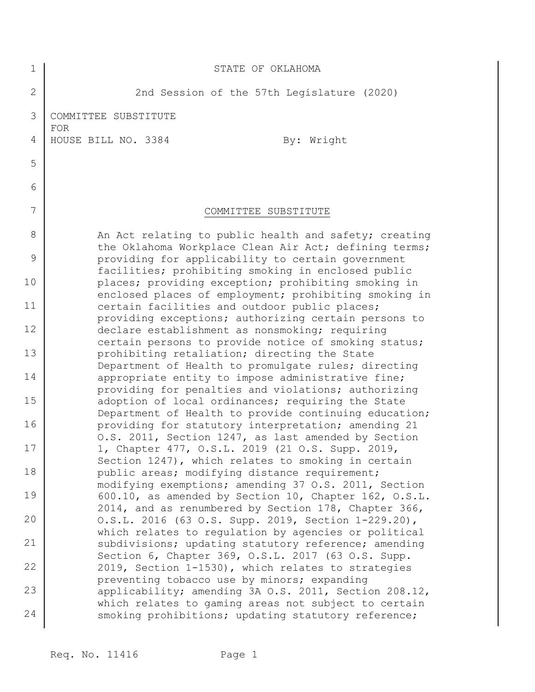| $\mathbf 1$    | STATE OF OKLAHOMA                                                                                              |
|----------------|----------------------------------------------------------------------------------------------------------------|
| $\overline{2}$ | 2nd Session of the 57th Legislature (2020)                                                                     |
| 3              | COMMITTEE SUBSTITUTE<br><b>FOR</b>                                                                             |
| 4              | HOUSE BILL NO. 3384<br>By: Wright                                                                              |
| 5              |                                                                                                                |
| 6              |                                                                                                                |
| 7              | COMMITTEE SUBSTITUTE                                                                                           |
| 8              | An Act relating to public health and safety; creating<br>the Oklahoma Workplace Clean Air Act; defining terms; |
| 9              | providing for applicability to certain government<br>facilities; prohibiting smoking in enclosed public        |
| 10             | places; providing exception; prohibiting smoking in<br>enclosed places of employment; prohibiting smoking in   |
| 11             | certain facilities and outdoor public places;<br>providing exceptions; authorizing certain persons to          |
| 12             | declare establishment as nonsmoking; requiring<br>certain persons to provide notice of smoking status;         |
| 13             | prohibiting retaliation; directing the State<br>Department of Health to promulgate rules; directing            |
| 14             | appropriate entity to impose administrative fine;<br>providing for penalties and violations; authorizing       |
| 15             | adoption of local ordinances; requiring the State<br>Department of Health to provide continuing education;     |
| 16             | providing for statutory interpretation; amending 21<br>O.S. 2011, Section 1247, as last amended by Section     |
| 17             | 1, Chapter 477, O.S.L. 2019 (21 O.S. Supp. 2019,<br>Section 1247), which relates to smoking in certain         |
| 18             | public areas; modifying distance requirement;<br>modifying exemptions; amending 37 O.S. 2011, Section          |
| 19             | 600.10, as amended by Section 10, Chapter 162, O.S.L.<br>2014, and as renumbered by Section 178, Chapter 366,  |
| 20             | O.S.L. 2016 (63 O.S. Supp. 2019, Section 1-229.20),<br>which relates to regulation by agencies or political    |
| 21             | subdivisions; updating statutory reference; amending<br>Section 6, Chapter 369, O.S.L. 2017 (63 O.S. Supp.     |
| 22             | 2019, Section 1-1530), which relates to strategies<br>preventing tobacco use by minors; expanding              |
| 23             | applicability; amending 3A O.S. 2011, Section 208.12,<br>which relates to gaming areas not subject to certain  |
| 24             | smoking prohibitions; updating statutory reference;                                                            |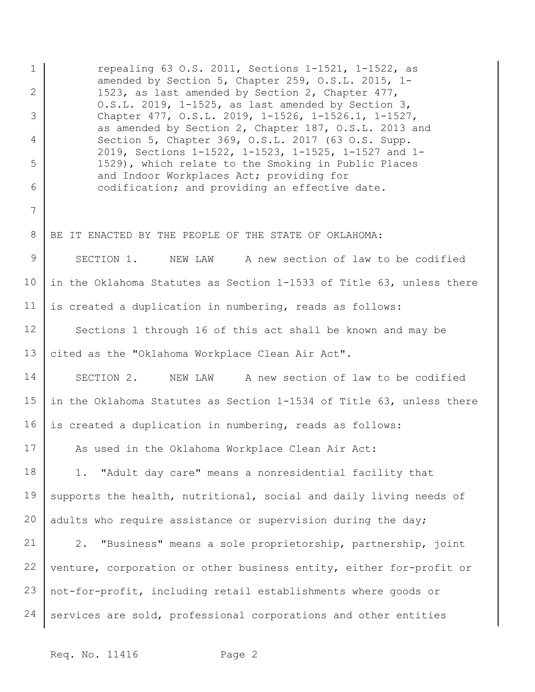1 2 3 4 5 6 7 8 9 10 11 12 13 14 15 16 17 18 19 20 21 22 23 24 repealing 63 O.S. 2011, Sections 1-1521, 1-1522, as amended by Section 5, Chapter 259, O.S.L. 2015, 1- 1523, as last amended by Section 2, Chapter 477, O.S.L. 2019, 1-1525, as last amended by Section 3, Chapter 477, O.S.L. 2019, 1-1526, 1-1526.1, 1-1527, as amended by Section 2, Chapter 187, O.S.L. 2013 and Section 5, Chapter 369, O.S.L. 2017 (63 O.S. Supp. 2019, Sections 1-1522, 1-1523, 1-1525, 1-1527 and 1- 1529), which relate to the Smoking in Public Places and Indoor Workplaces Act; providing for codification; and providing an effective date. BE IT ENACTED BY THE PEOPLE OF THE STATE OF OKLAHOMA: SECTION 1. NEW LAW A new section of law to be codified in the Oklahoma Statutes as Section 1-1533 of Title 63, unless there is created a duplication in numbering, reads as follows: Sections 1 through 16 of this act shall be known and may be cited as the "Oklahoma Workplace Clean Air Act". SECTION 2. NEW LAW A new section of law to be codified in the Oklahoma Statutes as Section 1-1534 of Title 63, unless there is created a duplication in numbering, reads as follows: As used in the Oklahoma Workplace Clean Air Act: 1. "Adult day care" means a nonresidential facility that supports the health, nutritional, social and daily living needs of adults who require assistance or supervision during the day; 2. "Business" means a sole proprietorship, partnership, joint venture, corporation or other business entity, either for-profit or not-for-profit, including retail establishments where goods or services are sold, professional corporations and other entities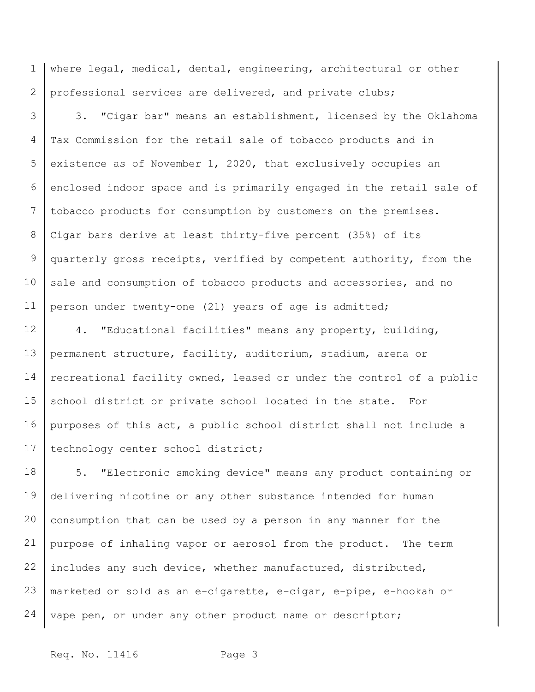1 2 where legal, medical, dental, engineering, architectural or other professional services are delivered, and private clubs;

3 4 5 6 7 8 9 10 11 3. "Cigar bar" means an establishment, licensed by the Oklahoma Tax Commission for the retail sale of tobacco products and in existence as of November 1, 2020, that exclusively occupies an enclosed indoor space and is primarily engaged in the retail sale of tobacco products for consumption by customers on the premises. Cigar bars derive at least thirty-five percent (35%) of its quarterly gross receipts, verified by competent authority, from the sale and consumption of tobacco products and accessories, and no person under twenty-one (21) years of age is admitted;

12 13 14 15 16 17 4. "Educational facilities" means any property, building, permanent structure, facility, auditorium, stadium, arena or recreational facility owned, leased or under the control of a public school district or private school located in the state. For purposes of this act, a public school district shall not include a technology center school district;

18 19 20 21 22 23 24 5. "Electronic smoking device" means any product containing or delivering nicotine or any other substance intended for human consumption that can be used by a person in any manner for the purpose of inhaling vapor or aerosol from the product. The term includes any such device, whether manufactured, distributed, marketed or sold as an e-cigarette, e-cigar, e-pipe, e-hookah or vape pen, or under any other product name or descriptor;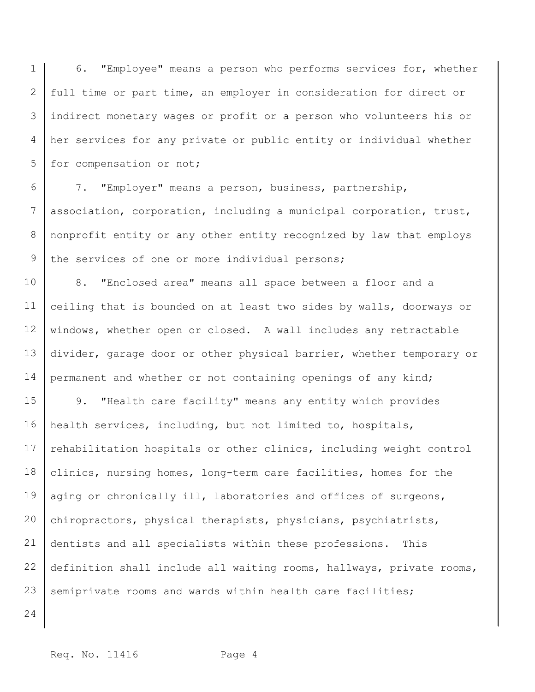1 2 3 4 5 6. "Employee" means a person who performs services for, whether full time or part time, an employer in consideration for direct or indirect monetary wages or profit or a person who volunteers his or her services for any private or public entity or individual whether for compensation or not;

6 7 8 9 7. "Employer" means a person, business, partnership, association, corporation, including a municipal corporation, trust, nonprofit entity or any other entity recognized by law that employs the services of one or more individual persons;

10 11 12 13 14 8. "Enclosed area" means all space between a floor and a ceiling that is bounded on at least two sides by walls, doorways or windows, whether open or closed. A wall includes any retractable divider, garage door or other physical barrier, whether temporary or permanent and whether or not containing openings of any kind;

15 16 17 18 19 20 21 22 23 9. "Health care facility" means any entity which provides health services, including, but not limited to, hospitals, rehabilitation hospitals or other clinics, including weight control clinics, nursing homes, long-term care facilities, homes for the aging or chronically ill, laboratories and offices of surgeons, chiropractors, physical therapists, physicians, psychiatrists, dentists and all specialists within these professions. This definition shall include all waiting rooms, hallways, private rooms, semiprivate rooms and wards within health care facilities;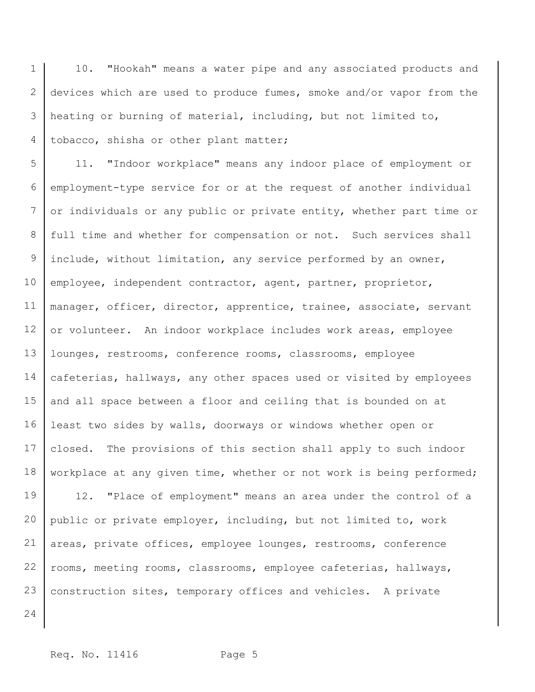1 2 3 4 10. "Hookah" means a water pipe and any associated products and devices which are used to produce fumes, smoke and/or vapor from the heating or burning of material, including, but not limited to, tobacco, shisha or other plant matter;

5 6 7 8 9 10 11 12 13 14 15 16 17 18 11. "Indoor workplace" means any indoor place of employment or employment-type service for or at the request of another individual or individuals or any public or private entity, whether part time or full time and whether for compensation or not. Such services shall include, without limitation, any service performed by an owner, employee, independent contractor, agent, partner, proprietor, manager, officer, director, apprentice, trainee, associate, servant or volunteer. An indoor workplace includes work areas, employee lounges, restrooms, conference rooms, classrooms, employee cafeterias, hallways, any other spaces used or visited by employees and all space between a floor and ceiling that is bounded on at least two sides by walls, doorways or windows whether open or closed. The provisions of this section shall apply to such indoor workplace at any given time, whether or not work is being performed;

19 20 21 22 23 12. "Place of employment" means an area under the control of a public or private employer, including, but not limited to, work areas, private offices, employee lounges, restrooms, conference rooms, meeting rooms, classrooms, employee cafeterias, hallways, construction sites, temporary offices and vehicles. A private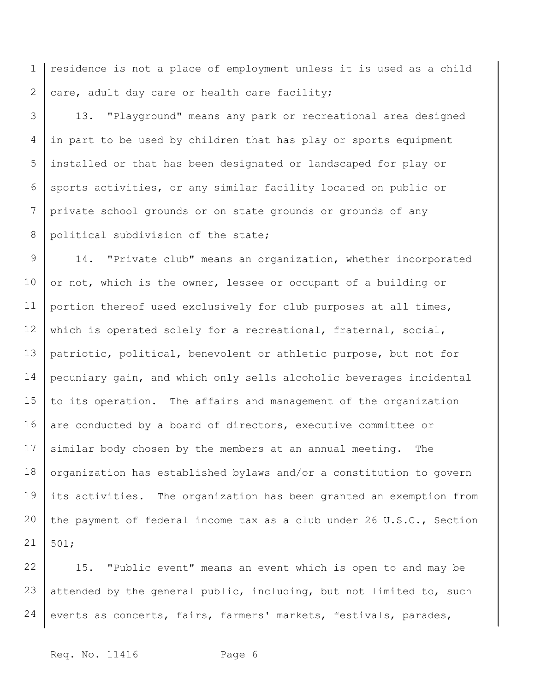1 2 residence is not a place of employment unless it is used as a child care, adult day care or health care facility;

3 4 5 6 7 8 13. "Playground" means any park or recreational area designed in part to be used by children that has play or sports equipment installed or that has been designated or landscaped for play or sports activities, or any similar facility located on public or private school grounds or on state grounds or grounds of any political subdivision of the state;

9 10 11 12 13 14 15 16 17 18 19 20 21 14. "Private club" means an organization, whether incorporated or not, which is the owner, lessee or occupant of a building or portion thereof used exclusively for club purposes at all times, which is operated solely for a recreational, fraternal, social, patriotic, political, benevolent or athletic purpose, but not for pecuniary gain, and which only sells alcoholic beverages incidental to its operation. The affairs and management of the organization are conducted by a board of directors, executive committee or similar body chosen by the members at an annual meeting. The organization has established bylaws and/or a constitution to govern its activities. The organization has been granted an exemption from the payment of federal income tax as a club under 26 U.S.C., Section 501;

22 23 24 15. "Public event" means an event which is open to and may be attended by the general public, including, but not limited to, such events as concerts, fairs, farmers' markets, festivals, parades,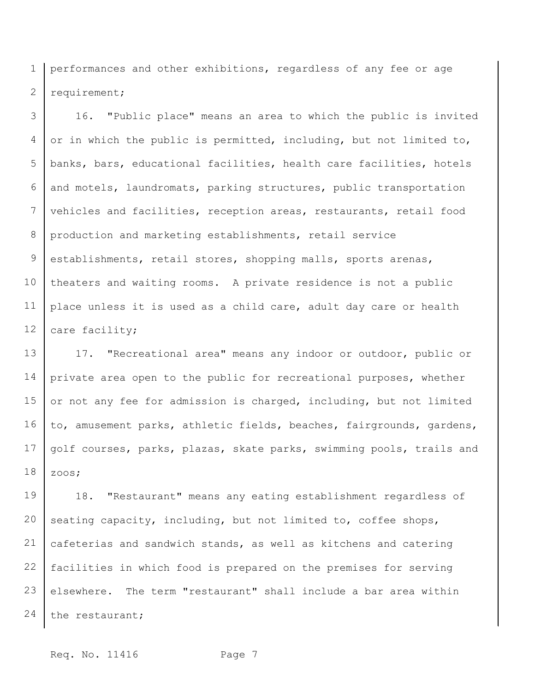1 2 performances and other exhibitions, regardless of any fee or age requirement;

3 4 5 6 7 8 9 10 11 12 16. "Public place" means an area to which the public is invited or in which the public is permitted, including, but not limited to, banks, bars, educational facilities, health care facilities, hotels and motels, laundromats, parking structures, public transportation vehicles and facilities, reception areas, restaurants, retail food production and marketing establishments, retail service establishments, retail stores, shopping malls, sports arenas, theaters and waiting rooms. A private residence is not a public place unless it is used as a child care, adult day care or health care facility;

13 14 15 16 17 18 17. "Recreational area" means any indoor or outdoor, public or private area open to the public for recreational purposes, whether or not any fee for admission is charged, including, but not limited to, amusement parks, athletic fields, beaches, fairgrounds, gardens, golf courses, parks, plazas, skate parks, swimming pools, trails and zoos;

19 20 21 22 23 24 18. "Restaurant" means any eating establishment regardless of seating capacity, including, but not limited to, coffee shops, cafeterias and sandwich stands, as well as kitchens and catering facilities in which food is prepared on the premises for serving elsewhere. The term "restaurant" shall include a bar area within the restaurant;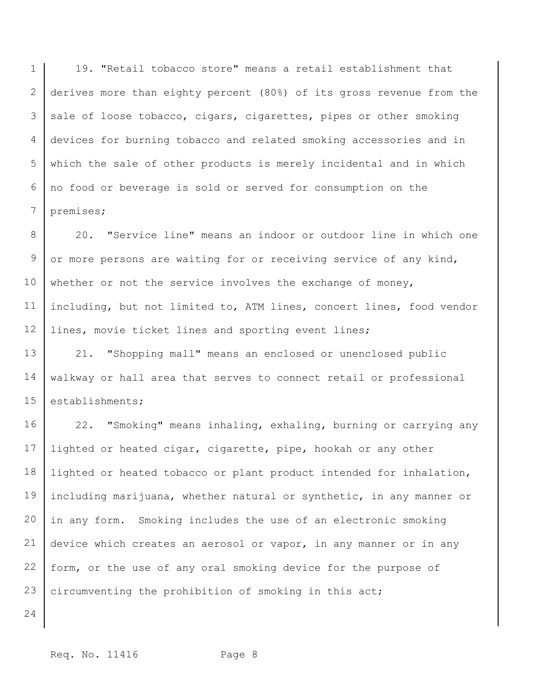1 2 3 4 5 6 7 19. "Retail tobacco store" means a retail establishment that derives more than eighty percent (80%) of its gross revenue from the sale of loose tobacco, cigars, cigarettes, pipes or other smoking devices for burning tobacco and related smoking accessories and in which the sale of other products is merely incidental and in which no food or beverage is sold or served for consumption on the premises;

8 9 10 11 12 20. "Service line" means an indoor or outdoor line in which one or more persons are waiting for or receiving service of any kind, whether or not the service involves the exchange of money, including, but not limited to, ATM lines, concert lines, food vendor lines, movie ticket lines and sporting event lines;

13 14 15 21. "Shopping mall" means an enclosed or unenclosed public walkway or hall area that serves to connect retail or professional establishments;

16 17 18 19 20 21 22 23 22. "Smoking" means inhaling, exhaling, burning or carrying any lighted or heated cigar, cigarette, pipe, hookah or any other lighted or heated tobacco or plant product intended for inhalation, including marijuana, whether natural or synthetic, in any manner or in any form. Smoking includes the use of an electronic smoking device which creates an aerosol or vapor, in any manner or in any form, or the use of any oral smoking device for the purpose of circumventing the prohibition of smoking in this act;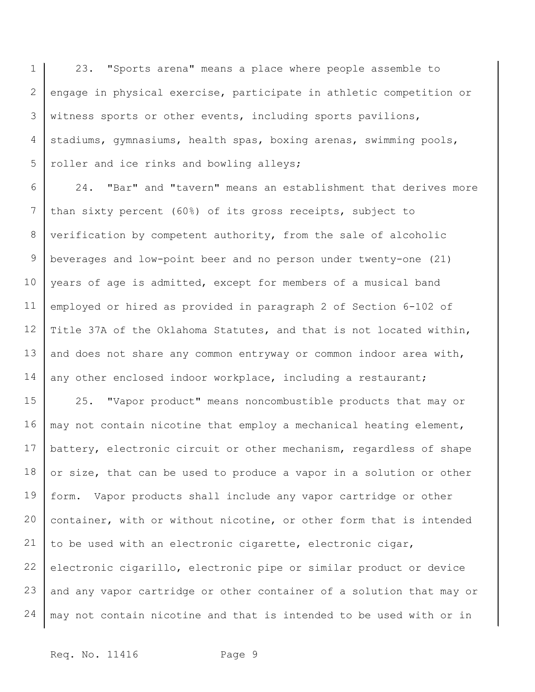1 2 3 4 5 23. "Sports arena" means a place where people assemble to engage in physical exercise, participate in athletic competition or witness sports or other events, including sports pavilions, stadiums, gymnasiums, health spas, boxing arenas, swimming pools, roller and ice rinks and bowling alleys;

6 7 8 9 10 11 12 13 14 24. "Bar" and "tavern" means an establishment that derives more than sixty percent (60%) of its gross receipts, subject to verification by competent authority, from the sale of alcoholic beverages and low-point beer and no person under twenty-one (21) years of age is admitted, except for members of a musical band employed or hired as provided in paragraph 2 of Section 6-102 of Title 37A of the Oklahoma Statutes, and that is not located within, and does not share any common entryway or common indoor area with, any other enclosed indoor workplace, including a restaurant;

15 16 17 18 19 20 21 22 23 24 25. "Vapor product" means noncombustible products that may or may not contain nicotine that employ a mechanical heating element, battery, electronic circuit or other mechanism, regardless of shape or size, that can be used to produce a vapor in a solution or other form. Vapor products shall include any vapor cartridge or other container, with or without nicotine, or other form that is intended to be used with an electronic cigarette, electronic cigar, electronic cigarillo, electronic pipe or similar product or device and any vapor cartridge or other container of a solution that may or may not contain nicotine and that is intended to be used with or in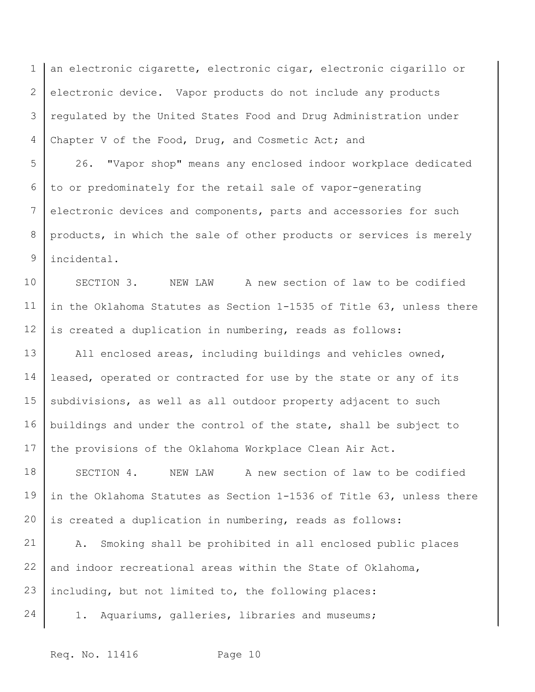1 2 3 4 an electronic cigarette, electronic cigar, electronic cigarillo or electronic device. Vapor products do not include any products regulated by the United States Food and Drug Administration under Chapter V of the Food, Drug, and Cosmetic Act; and

5 6 7 8 9 26. "Vapor shop" means any enclosed indoor workplace dedicated to or predominately for the retail sale of vapor-generating electronic devices and components, parts and accessories for such products, in which the sale of other products or services is merely incidental.

10 11 12 SECTION 3. NEW LAW A new section of law to be codified in the Oklahoma Statutes as Section 1-1535 of Title 63, unless there is created a duplication in numbering, reads as follows:

13 14 15 16 17 All enclosed areas, including buildings and vehicles owned, leased, operated or contracted for use by the state or any of its subdivisions, as well as all outdoor property adjacent to such buildings and under the control of the state, shall be subject to the provisions of the Oklahoma Workplace Clean Air Act.

18 19 20 SECTION 4. NEW LAW A new section of law to be codified in the Oklahoma Statutes as Section 1-1536 of Title 63, unless there is created a duplication in numbering, reads as follows:

21 22 23 A. Smoking shall be prohibited in all enclosed public places and indoor recreational areas within the State of Oklahoma, including, but not limited to, the following places:

- 24
- 1. Aquariums, galleries, libraries and museums;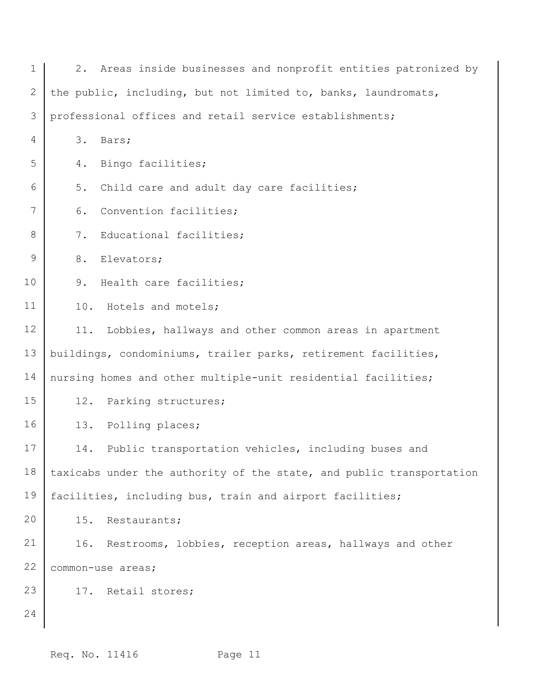| $\mathbf 1$ |     | 2. Areas inside businesses and nonprofit entities patronized by      |
|-------------|-----|----------------------------------------------------------------------|
| 2           |     | the public, including, but not limited to, banks, laundromats,       |
| 3           |     | professional offices and retail service establishments;              |
| 4           | 3.  | Bars;                                                                |
| 5           | 4.  | Bingo facilities;                                                    |
| 6           | 5.  | Child care and adult day care facilities;                            |
| 7           | 6.  | Convention facilities;                                               |
| 8           | 7.  | Educational facilities;                                              |
| 9           | 8.  | Elevators;                                                           |
| 10          | 9.  | Health care facilities;                                              |
| 11          | 10. | Hotels and motels;                                                   |
| 12          | 11. | Lobbies, hallways and other common areas in apartment                |
| 13          |     | buildings, condominiums, trailer parks, retirement facilities,       |
| 14          |     | nursing homes and other multiple-unit residential facilities;        |
| 15          | 12. | Parking structures;                                                  |
| 16          | 13. | Polling places;                                                      |
| 17          | 14. | Public transportation vehicles, including buses and                  |
| 18          |     | taxicabs under the authority of the state, and public transportation |
| 19          |     | facilities, including bus, train and airport facilities;             |
| 20          | 15. | Restaurants;                                                         |
| 21          |     | 16. Restrooms, lobbies, reception areas, hallways and other          |
| 22          |     | common-use areas;                                                    |
| 23          |     | 17. Retail stores;                                                   |
| 24          |     |                                                                      |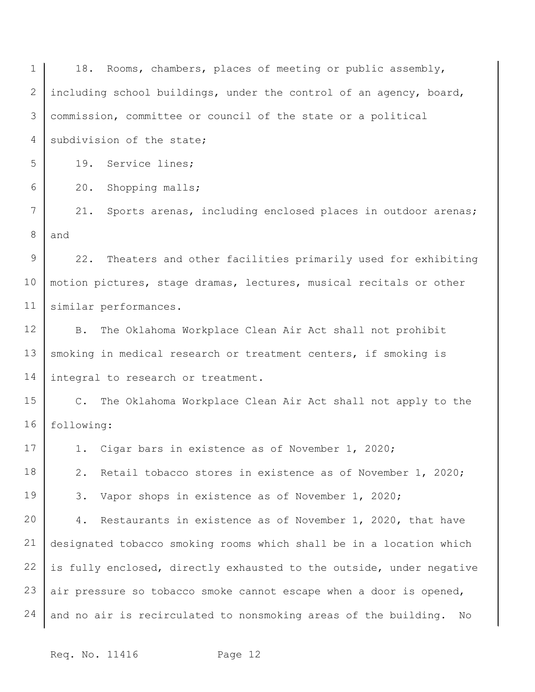1 2 3 4 5 6 7 8 9 10 11 12 13 14 15 16 17 18 19 20 21 22 23 24 18. Rooms, chambers, places of meeting or public assembly, including school buildings, under the control of an agency, board, commission, committee or council of the state or a political subdivision of the state; 19. Service lines; 20. Shopping malls; 21. Sports arenas, including enclosed places in outdoor arenas; and 22. Theaters and other facilities primarily used for exhibiting motion pictures, stage dramas, lectures, musical recitals or other similar performances. B. The Oklahoma Workplace Clean Air Act shall not prohibit smoking in medical research or treatment centers, if smoking is integral to research or treatment. C. The Oklahoma Workplace Clean Air Act shall not apply to the following: 1. Cigar bars in existence as of November 1, 2020; 2. Retail tobacco stores in existence as of November 1, 2020; 3. Vapor shops in existence as of November 1, 2020; 4. Restaurants in existence as of November 1, 2020, that have designated tobacco smoking rooms which shall be in a location which is fully enclosed, directly exhausted to the outside, under negative air pressure so tobacco smoke cannot escape when a door is opened, and no air is recirculated to nonsmoking areas of the building. No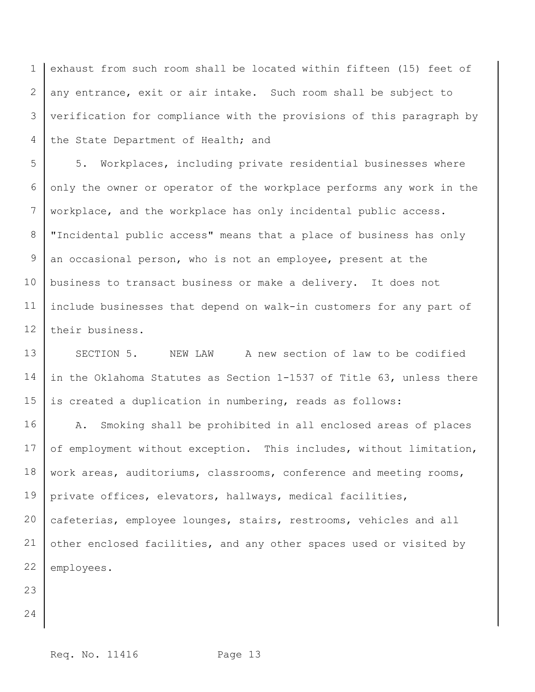1 2 3 4 exhaust from such room shall be located within fifteen (15) feet of any entrance, exit or air intake. Such room shall be subject to verification for compliance with the provisions of this paragraph by the State Department of Health; and

5 6 7 8 9 10 11 12 5. Workplaces, including private residential businesses where only the owner or operator of the workplace performs any work in the workplace, and the workplace has only incidental public access. "Incidental public access" means that a place of business has only an occasional person, who is not an employee, present at the business to transact business or make a delivery. It does not include businesses that depend on walk-in customers for any part of their business.

13 14 15 SECTION 5. NEW LAW A new section of law to be codified in the Oklahoma Statutes as Section 1-1537 of Title 63, unless there is created a duplication in numbering, reads as follows:

16 17 18 19 20 21 22 A. Smoking shall be prohibited in all enclosed areas of places of employment without exception. This includes, without limitation, work areas, auditoriums, classrooms, conference and meeting rooms, private offices, elevators, hallways, medical facilities, cafeterias, employee lounges, stairs, restrooms, vehicles and all other enclosed facilities, and any other spaces used or visited by employees.

- 23
- 24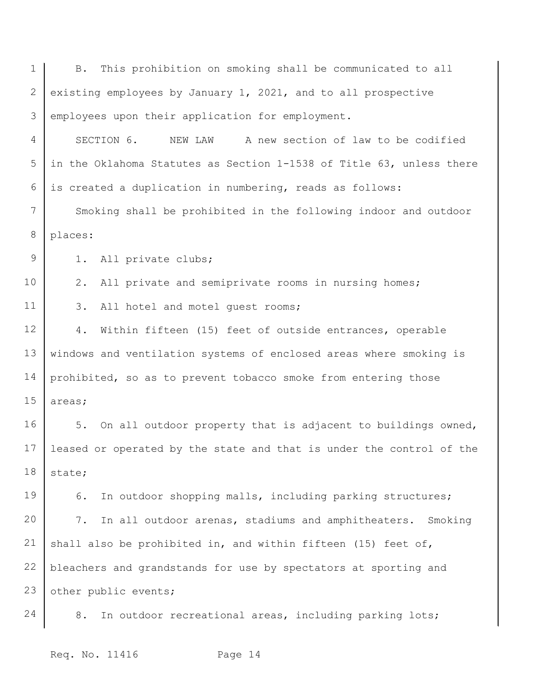| $\mathbf 1$    | This prohibition on smoking shall be communicated to all<br><b>B.</b> |
|----------------|-----------------------------------------------------------------------|
| $\mathbf{2}$   | existing employees by January 1, 2021, and to all prospective         |
| 3              | employees upon their application for employment.                      |
| $\overline{4}$ | SECTION 6.<br>A new section of law to be codified<br>NEW LAW          |
| 5              | in the Oklahoma Statutes as Section 1-1538 of Title 63, unless there  |
| 6              | is created a duplication in numbering, reads as follows:              |
| 7              | Smoking shall be prohibited in the following indoor and outdoor       |
| $\,8\,$        | places:                                                               |
| $\mathcal{G}$  | All private clubs;<br>1.                                              |
| 10             | 2.<br>All private and semiprivate rooms in nursing homes;             |
| 11             | 3.<br>All hotel and motel guest rooms;                                |
| 12             | 4.<br>Within fifteen (15) feet of outside entrances, operable         |
| 13             | windows and ventilation systems of enclosed areas where smoking is    |
| 14             | prohibited, so as to prevent tobacco smoke from entering those        |
| 15             | areas;                                                                |
| 16             | 5.<br>On all outdoor property that is adjacent to buildings owned,    |
| 17             | leased or operated by the state and that is under the control of the  |
| 18             | state;                                                                |
| 19             | In outdoor shopping malls, including parking structures;<br>6.        |
| 20             | In all outdoor arenas, stadiums and amphitheaters.<br>7.<br>Smoking   |
| 21             | shall also be prohibited in, and within fifteen (15) feet of,         |
| 22             | bleachers and grandstands for use by spectators at sporting and       |
| 23             | other public events;                                                  |
| 24             | In outdoor recreational areas, including parking lots;<br>8.          |
|                |                                                                       |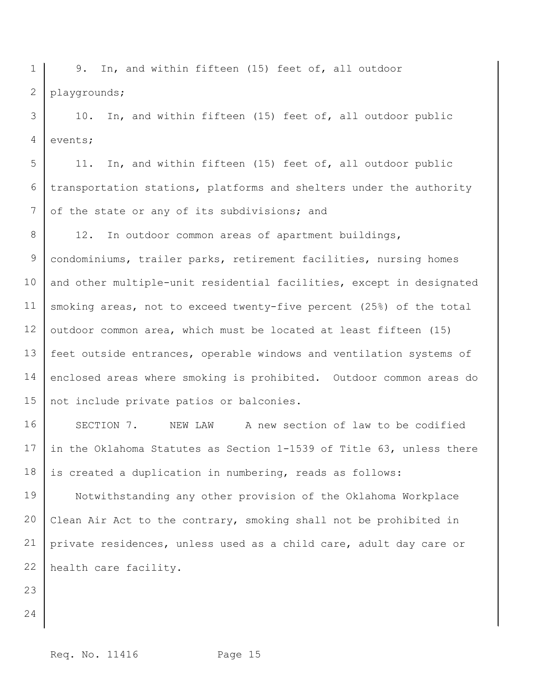1 2 9. In, and within fifteen (15) feet of, all outdoor playgrounds;

3 4 10. In, and within fifteen (15) feet of, all outdoor public events;

5 6 7 11. In, and within fifteen (15) feet of, all outdoor public transportation stations, platforms and shelters under the authority of the state or any of its subdivisions; and

8 9 10 11 12 13 14 15 12. In outdoor common areas of apartment buildings, condominiums, trailer parks, retirement facilities, nursing homes and other multiple-unit residential facilities, except in designated smoking areas, not to exceed twenty-five percent (25%) of the total outdoor common area, which must be located at least fifteen (15) feet outside entrances, operable windows and ventilation systems of enclosed areas where smoking is prohibited. Outdoor common areas do not include private patios or balconies.

16 17 18 SECTION 7. NEW LAW A new section of law to be codified in the Oklahoma Statutes as Section 1-1539 of Title 63, unless there is created a duplication in numbering, reads as follows:

19 20 21 22 Notwithstanding any other provision of the Oklahoma Workplace Clean Air Act to the contrary, smoking shall not be prohibited in private residences, unless used as a child care, adult day care or health care facility.

- 23
- 24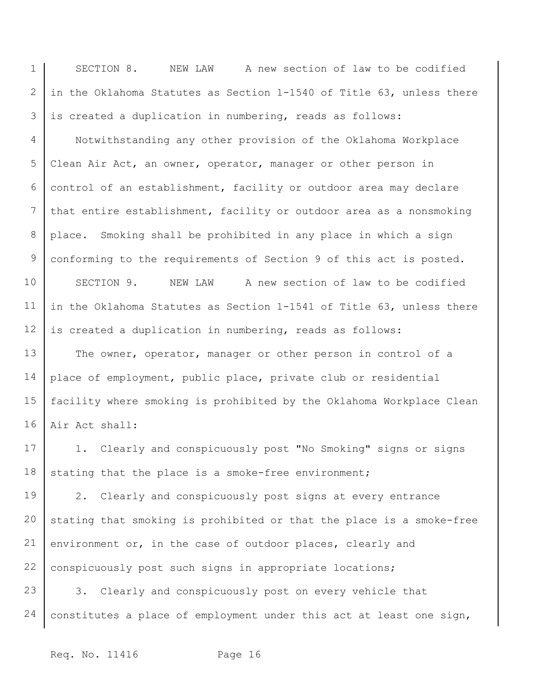1 2 3 SECTION 8. NEW LAW A new section of law to be codified in the Oklahoma Statutes as Section 1-1540 of Title 63, unless there is created a duplication in numbering, reads as follows:

4 5 6 7 8 9 10 11 12 Notwithstanding any other provision of the Oklahoma Workplace Clean Air Act, an owner, operator, manager or other person in control of an establishment, facility or outdoor area may declare that entire establishment, facility or outdoor area as a nonsmoking place. Smoking shall be prohibited in any place in which a sign conforming to the requirements of Section 9 of this act is posted. SECTION 9. NEW LAW A new section of law to be codified in the Oklahoma Statutes as Section 1-1541 of Title 63, unless there is created a duplication in numbering, reads as follows:

13 14 15 16 The owner, operator, manager or other person in control of a place of employment, public place, private club or residential facility where smoking is prohibited by the Oklahoma Workplace Clean Air Act shall:

17 18 1. Clearly and conspicuously post "No Smoking" signs or signs stating that the place is a smoke-free environment;

19 20 21 22 2. Clearly and conspicuously post signs at every entrance stating that smoking is prohibited or that the place is a smoke-free environment or, in the case of outdoor places, clearly and conspicuously post such signs in appropriate locations;

23 24 3. Clearly and conspicuously post on every vehicle that constitutes a place of employment under this act at least one sign,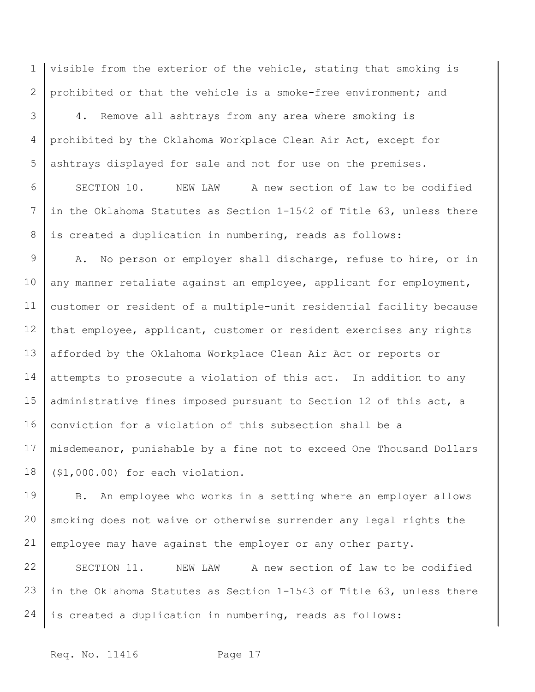1 2 visible from the exterior of the vehicle, stating that smoking is prohibited or that the vehicle is a smoke-free environment; and

3 4 5 4. Remove all ashtrays from any area where smoking is prohibited by the Oklahoma Workplace Clean Air Act, except for ashtrays displayed for sale and not for use on the premises.

6 7 8 SECTION 10. NEW LAW A new section of law to be codified in the Oklahoma Statutes as Section 1-1542 of Title 63, unless there is created a duplication in numbering, reads as follows:

9 10 11 12 13 14 15 16 17 18 A. No person or employer shall discharge, refuse to hire, or in any manner retaliate against an employee, applicant for employment, customer or resident of a multiple-unit residential facility because that employee, applicant, customer or resident exercises any rights afforded by the Oklahoma Workplace Clean Air Act or reports or attempts to prosecute a violation of this act. In addition to any administrative fines imposed pursuant to Section 12 of this act, a conviction for a violation of this subsection shall be a misdemeanor, punishable by a fine not to exceed One Thousand Dollars (\$1,000.00) for each violation.

19 20 21 B. An employee who works in a setting where an employer allows smoking does not waive or otherwise surrender any legal rights the employee may have against the employer or any other party.

22 23 24 SECTION 11. NEW LAW A new section of law to be codified in the Oklahoma Statutes as Section 1-1543 of Title 63, unless there is created a duplication in numbering, reads as follows: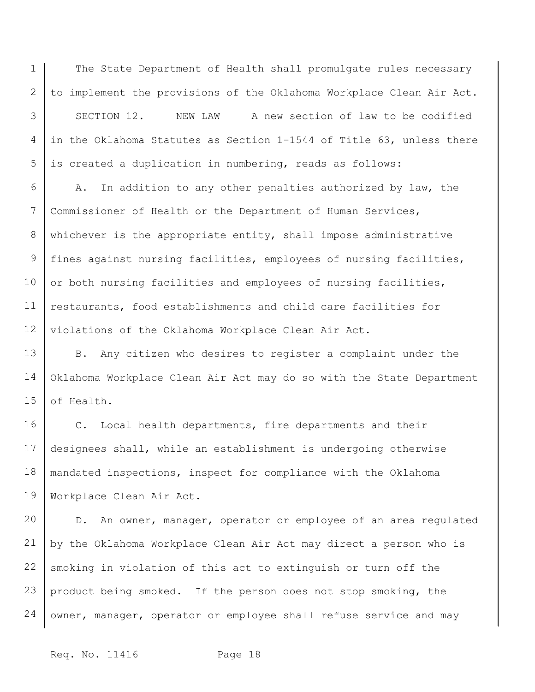1 The State Department of Health shall promulgate rules necessary to implement the provisions of the Oklahoma Workplace Clean Air Act.

3 4 5 SECTION 12. NEW LAW A new section of law to be codified in the Oklahoma Statutes as Section 1-1544 of Title 63, unless there is created a duplication in numbering, reads as follows:

6 7 8 9 10 11 12 A. In addition to any other penalties authorized by law, the Commissioner of Health or the Department of Human Services, whichever is the appropriate entity, shall impose administrative fines against nursing facilities, employees of nursing facilities, or both nursing facilities and employees of nursing facilities, restaurants, food establishments and child care facilities for violations of the Oklahoma Workplace Clean Air Act.

13 14 15 B. Any citizen who desires to register a complaint under the Oklahoma Workplace Clean Air Act may do so with the State Department of Health.

16 17 18 19 C. Local health departments, fire departments and their designees shall, while an establishment is undergoing otherwise mandated inspections, inspect for compliance with the Oklahoma Workplace Clean Air Act.

20 21 22 23 24 D. An owner, manager, operator or employee of an area regulated by the Oklahoma Workplace Clean Air Act may direct a person who is smoking in violation of this act to extinguish or turn off the product being smoked. If the person does not stop smoking, the owner, manager, operator or employee shall refuse service and may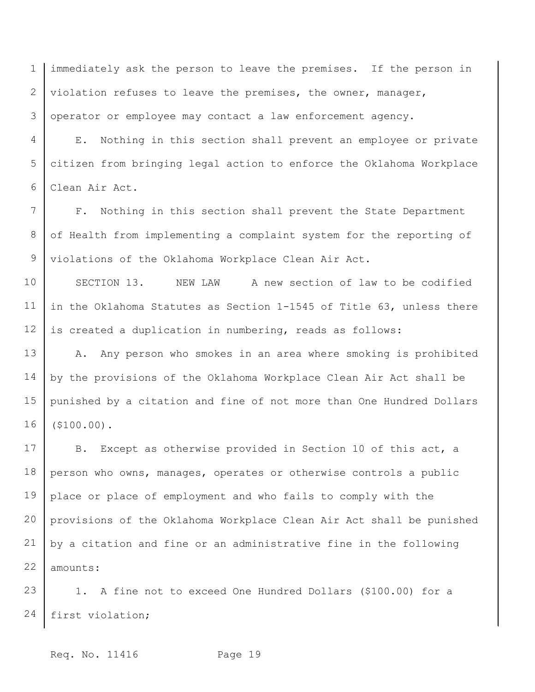1 2 3 immediately ask the person to leave the premises. If the person in violation refuses to leave the premises, the owner, manager, operator or employee may contact a law enforcement agency.

4 5 6 E. Nothing in this section shall prevent an employee or private citizen from bringing legal action to enforce the Oklahoma Workplace Clean Air Act.

7 8 9 F. Nothing in this section shall prevent the State Department of Health from implementing a complaint system for the reporting of violations of the Oklahoma Workplace Clean Air Act.

10 11 12 SECTION 13. NEW LAW A new section of law to be codified in the Oklahoma Statutes as Section 1-1545 of Title 63, unless there is created a duplication in numbering, reads as follows:

13 14 15 16 A. Any person who smokes in an area where smoking is prohibited by the provisions of the Oklahoma Workplace Clean Air Act shall be punished by a citation and fine of not more than One Hundred Dollars (\$100.00).

17 18 19 20 21 22 B. Except as otherwise provided in Section 10 of this act, a person who owns, manages, operates or otherwise controls a public place or place of employment and who fails to comply with the provisions of the Oklahoma Workplace Clean Air Act shall be punished by a citation and fine or an administrative fine in the following amounts:

23 24 1. A fine not to exceed One Hundred Dollars (\$100.00) for a first violation;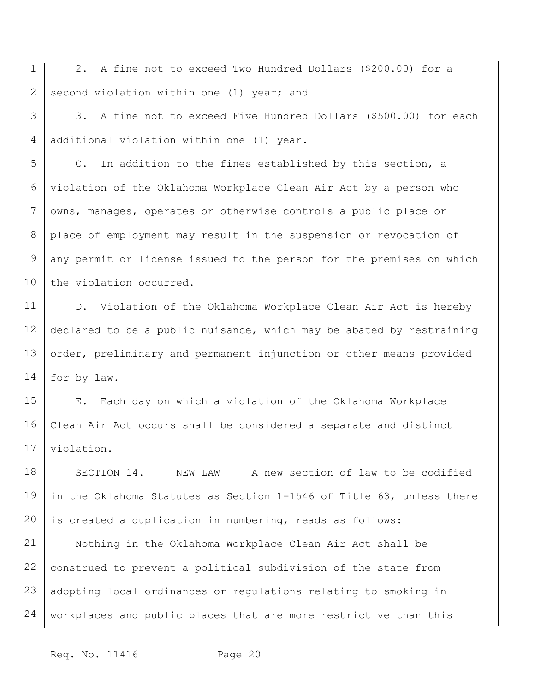1 2 2. A fine not to exceed Two Hundred Dollars (\$200.00) for a second violation within one (1) year; and

3 4 3. A fine not to exceed Five Hundred Dollars (\$500.00) for each additional violation within one (1) year.

5 6 7 8 9 10 C. In addition to the fines established by this section, a violation of the Oklahoma Workplace Clean Air Act by a person who owns, manages, operates or otherwise controls a public place or place of employment may result in the suspension or revocation of any permit or license issued to the person for the premises on which the violation occurred.

11 12 13 14 D. Violation of the Oklahoma Workplace Clean Air Act is hereby declared to be a public nuisance, which may be abated by restraining order, preliminary and permanent injunction or other means provided for by law.

15 16 17 E. Each day on which a violation of the Oklahoma Workplace Clean Air Act occurs shall be considered a separate and distinct violation.

18 19 20 21 22 23 24 SECTION 14. NEW LAW A new section of law to be codified in the Oklahoma Statutes as Section 1-1546 of Title 63, unless there is created a duplication in numbering, reads as follows: Nothing in the Oklahoma Workplace Clean Air Act shall be construed to prevent a political subdivision of the state from adopting local ordinances or regulations relating to smoking in workplaces and public places that are more restrictive than this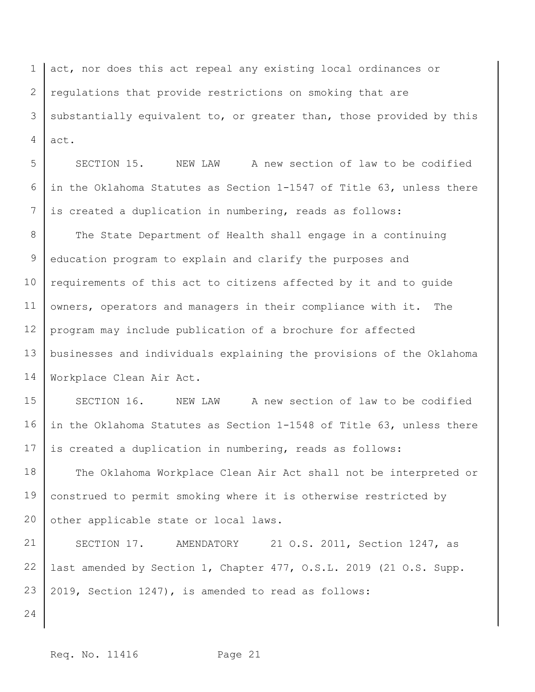1 2 3 4 act, nor does this act repeal any existing local ordinances or regulations that provide restrictions on smoking that are substantially equivalent to, or greater than, those provided by this act.

5 6 7 SECTION 15. NEW LAW A new section of law to be codified in the Oklahoma Statutes as Section 1-1547 of Title 63, unless there is created a duplication in numbering, reads as follows:

8 9 10 11 12 13 14 The State Department of Health shall engage in a continuing education program to explain and clarify the purposes and requirements of this act to citizens affected by it and to guide owners, operators and managers in their compliance with it. The program may include publication of a brochure for affected businesses and individuals explaining the provisions of the Oklahoma Workplace Clean Air Act.

15 16 17 SECTION 16. NEW LAW A new section of law to be codified in the Oklahoma Statutes as Section 1-1548 of Title 63, unless there is created a duplication in numbering, reads as follows:

18 19 20 The Oklahoma Workplace Clean Air Act shall not be interpreted or construed to permit smoking where it is otherwise restricted by other applicable state or local laws.

21 22 23 SECTION 17. AMENDATORY 21 O.S. 2011, Section 1247, as last amended by Section 1, Chapter 477, O.S.L. 2019 (21 O.S. Supp. 2019, Section 1247), is amended to read as follows: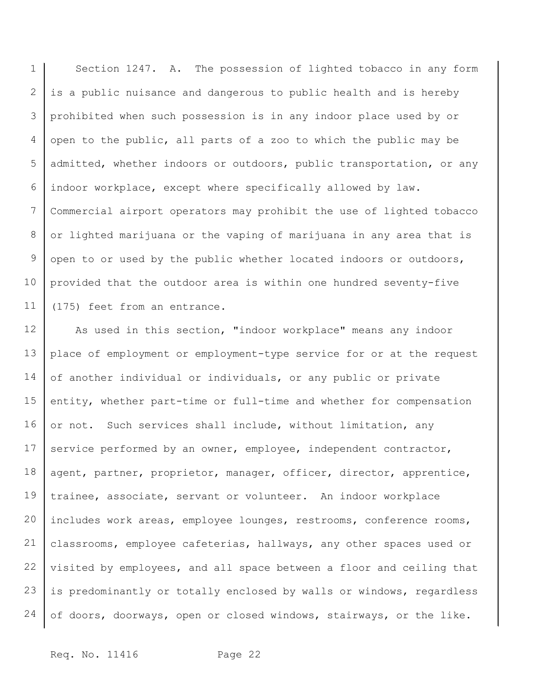1 2 3 4 5 6 7 8 9 10 11 Section 1247. A. The possession of lighted tobacco in any form is a public nuisance and dangerous to public health and is hereby prohibited when such possession is in any indoor place used by or open to the public, all parts of a zoo to which the public may be admitted, whether indoors or outdoors, public transportation, or any indoor workplace, except where specifically allowed by law. Commercial airport operators may prohibit the use of lighted tobacco or lighted marijuana or the vaping of marijuana in any area that is open to or used by the public whether located indoors or outdoors, provided that the outdoor area is within one hundred seventy-five (175) feet from an entrance.

12 13 14 15 16 17 18 19 20 21 22 23 24 As used in this section, "indoor workplace" means any indoor place of employment or employment-type service for or at the request of another individual or individuals, or any public or private entity, whether part-time or full-time and whether for compensation or not. Such services shall include, without limitation, any service performed by an owner, employee, independent contractor, agent, partner, proprietor, manager, officer, director, apprentice, trainee, associate, servant or volunteer. An indoor workplace includes work areas, employee lounges, restrooms, conference rooms, classrooms, employee cafeterias, hallways, any other spaces used or visited by employees, and all space between a floor and ceiling that is predominantly or totally enclosed by walls or windows, regardless of doors, doorways, open or closed windows, stairways, or the like.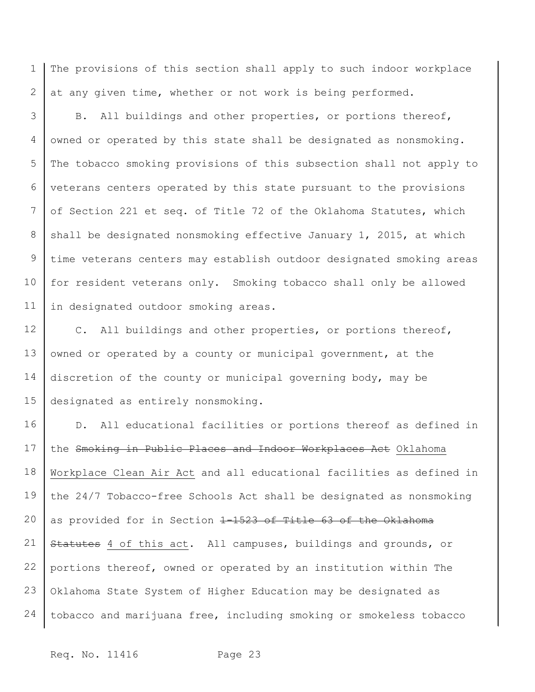1 2 The provisions of this section shall apply to such indoor workplace at any given time, whether or not work is being performed.

3 4 5 6 7 8 9 10 11 B. All buildings and other properties, or portions thereof, owned or operated by this state shall be designated as nonsmoking. The tobacco smoking provisions of this subsection shall not apply to veterans centers operated by this state pursuant to the provisions of Section 221 et seq. of Title 72 of the Oklahoma Statutes, which shall be designated nonsmoking effective January 1, 2015, at which time veterans centers may establish outdoor designated smoking areas for resident veterans only. Smoking tobacco shall only be allowed in designated outdoor smoking areas.

12 13 14 15 C. All buildings and other properties, or portions thereof, owned or operated by a county or municipal government, at the discretion of the county or municipal governing body, may be designated as entirely nonsmoking.

16 17 18 19 20 21 22 23 24 D. All educational facilities or portions thereof as defined in the Smoking in Public Places and Indoor Workplaces Act Oklahoma Workplace Clean Air Act and all educational facilities as defined in the 24/7 Tobacco-free Schools Act shall be designated as nonsmoking as provided for in Section 1-1523 of Title 63 of the Oklahoma Statutes 4 of this act. All campuses, buildings and grounds, or portions thereof, owned or operated by an institution within The Oklahoma State System of Higher Education may be designated as tobacco and marijuana free, including smoking or smokeless tobacco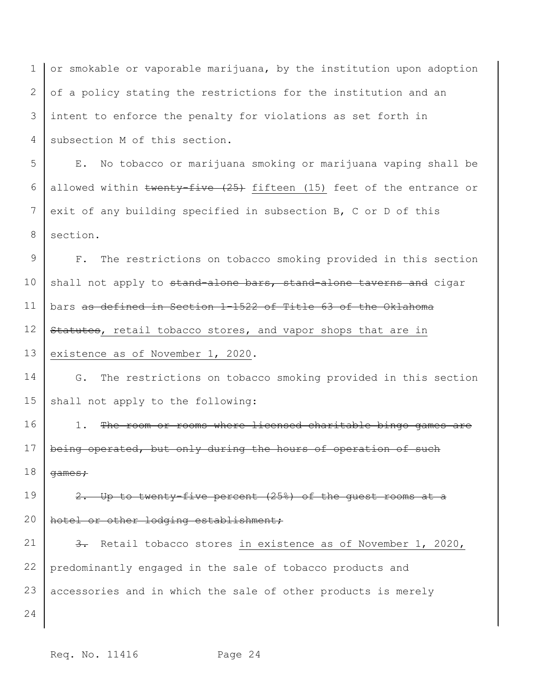1 2 3 4 or smokable or vaporable marijuana, by the institution upon adoption of a policy stating the restrictions for the institution and an intent to enforce the penalty for violations as set forth in subsection M of this section.

5 6 7 8 E. No tobacco or marijuana smoking or marijuana vaping shall be allowed within twenty-five (25) fifteen (15) feet of the entrance or exit of any building specified in subsection B, C or D of this section.

9 10 11 12 13 F. The restrictions on tobacco smoking provided in this section shall not apply to stand-alone bars, stand-alone taverns and cigar bars as defined in Section 1-1522 of Title 63 of the Oklahoma Statutes, retail tobacco stores, and vapor shops that are in existence as of November 1, 2020.

14 15 G. The restrictions on tobacco smoking provided in this section shall not apply to the following:

16 17 18 1. The room or rooms where licensed charitable bingo games are being operated, but only during the hours of operation of such games;

19 20 2. Up to twenty-five percent (25%) of the guest rooms at a hotel or other lodging establishment;

21 22 23 3. Retail tobacco stores in existence as of November 1, 2020, predominantly engaged in the sale of tobacco products and accessories and in which the sale of other products is merely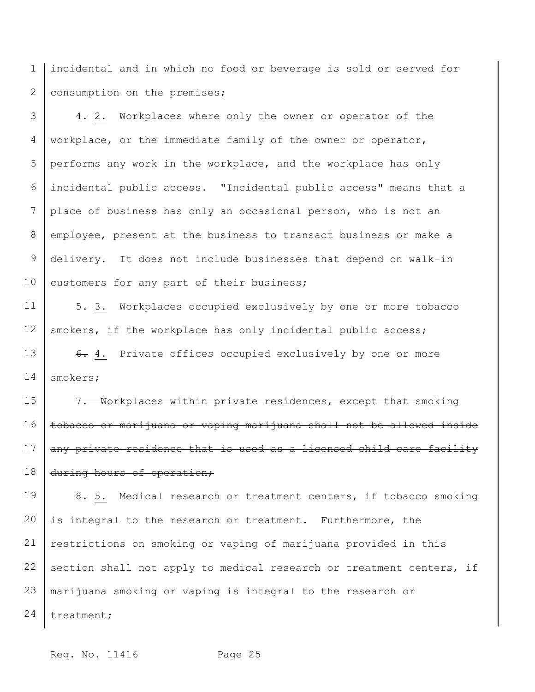1 2 incidental and in which no food or beverage is sold or served for consumption on the premises;

3 4 5 6 7 8 9 10 4. 2. Workplaces where only the owner or operator of the workplace, or the immediate family of the owner or operator, performs any work in the workplace, and the workplace has only incidental public access. "Incidental public access" means that a place of business has only an occasional person, who is not an employee, present at the business to transact business or make a delivery. It does not include businesses that depend on walk-in customers for any part of their business;

11 12 5. 3. Workplaces occupied exclusively by one or more tobacco smokers, if the workplace has only incidental public access;

13 14 6. 4. Private offices occupied exclusively by one or more smokers;

15 16 17 18 7. Workplaces within private residences, except that smoking tobacco or marijuana or vaping marijuana shall not be allowed inside any private residence that is used as a licensed child care facility during hours of operation;

19 20 21 22 23 24 8. 5. Medical research or treatment centers, if tobacco smoking is integral to the research or treatment. Furthermore, the restrictions on smoking or vaping of marijuana provided in this section shall not apply to medical research or treatment centers, if marijuana smoking or vaping is integral to the research or treatment;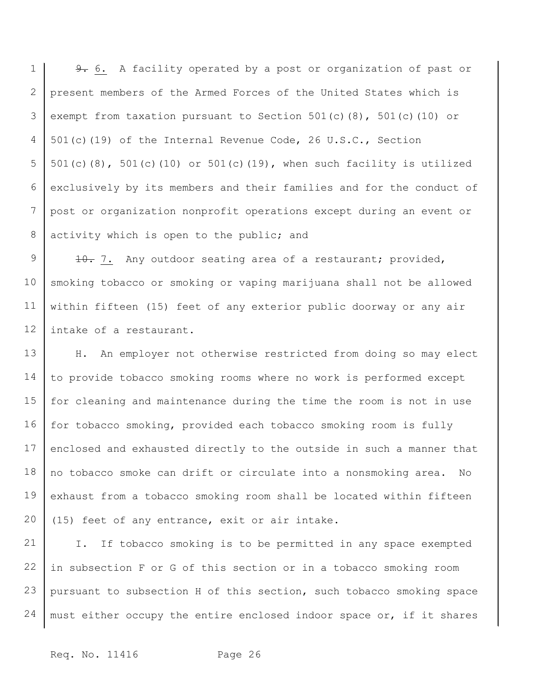1 2 3 4 5 6 7 8 9. 6. A facility operated by a post or organization of past or present members of the Armed Forces of the United States which is exempt from taxation pursuant to Section 501(c)(8), 501(c)(10) or 501(c)(19) of the Internal Revenue Code, 26 U.S.C., Section 501(c)(8), 501(c)(10) or 501(c)(19), when such facility is utilized exclusively by its members and their families and for the conduct of post or organization nonprofit operations except during an event or activity which is open to the public; and

9 10 11 12 10. 7. Any outdoor seating area of a restaurant; provided, smoking tobacco or smoking or vaping marijuana shall not be allowed within fifteen (15) feet of any exterior public doorway or any air intake of a restaurant.

13 14 15 16 17 18 19 20 H. An employer not otherwise restricted from doing so may elect to provide tobacco smoking rooms where no work is performed except for cleaning and maintenance during the time the room is not in use for tobacco smoking, provided each tobacco smoking room is fully enclosed and exhausted directly to the outside in such a manner that no tobacco smoke can drift or circulate into a nonsmoking area. No exhaust from a tobacco smoking room shall be located within fifteen (15) feet of any entrance, exit or air intake.

21 22 23 24 I. If tobacco smoking is to be permitted in any space exempted in subsection F or G of this section or in a tobacco smoking room pursuant to subsection H of this section, such tobacco smoking space must either occupy the entire enclosed indoor space or, if it shares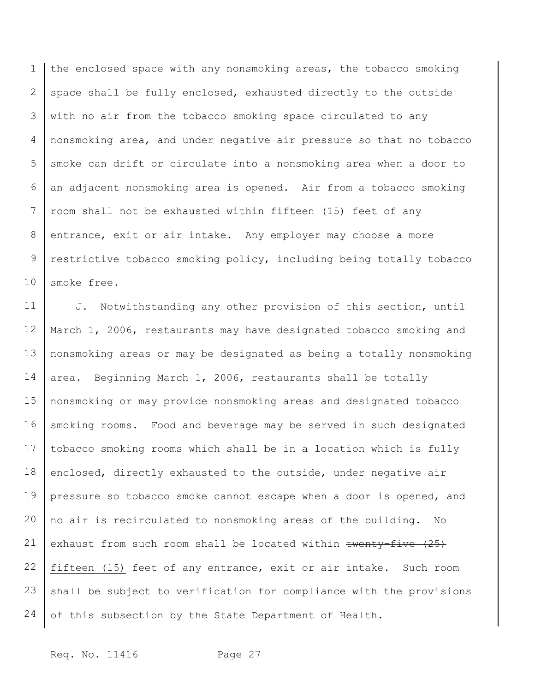1 2 3 4 5 6 7 8 9 10 the enclosed space with any nonsmoking areas, the tobacco smoking space shall be fully enclosed, exhausted directly to the outside with no air from the tobacco smoking space circulated to any nonsmoking area, and under negative air pressure so that no tobacco smoke can drift or circulate into a nonsmoking area when a door to an adjacent nonsmoking area is opened. Air from a tobacco smoking room shall not be exhausted within fifteen (15) feet of any entrance, exit or air intake. Any employer may choose a more restrictive tobacco smoking policy, including being totally tobacco smoke free.

11 12 13 14 15 16 17 18 19 20 21 22 23 24 J. Notwithstanding any other provision of this section, until March 1, 2006, restaurants may have designated tobacco smoking and nonsmoking areas or may be designated as being a totally nonsmoking area. Beginning March 1, 2006, restaurants shall be totally nonsmoking or may provide nonsmoking areas and designated tobacco smoking rooms. Food and beverage may be served in such designated tobacco smoking rooms which shall be in a location which is fully enclosed, directly exhausted to the outside, under negative air pressure so tobacco smoke cannot escape when a door is opened, and no air is recirculated to nonsmoking areas of the building. No exhaust from such room shall be located within twenty-five (25) fifteen (15) feet of any entrance, exit or air intake. Such room shall be subject to verification for compliance with the provisions of this subsection by the State Department of Health.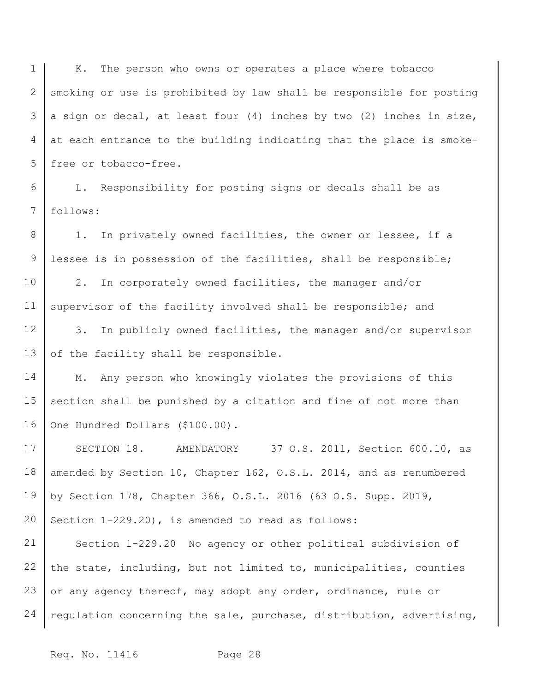1 2 3 4 5 K. The person who owns or operates a place where tobacco smoking or use is prohibited by law shall be responsible for posting a sign or decal, at least four (4) inches by two (2) inches in size, at each entrance to the building indicating that the place is smokefree or tobacco-free.

6 7 L. Responsibility for posting signs or decals shall be as follows:

8 9 1. In privately owned facilities, the owner or lessee, if a lessee is in possession of the facilities, shall be responsible;

10 11 2. In corporately owned facilities, the manager and/or supervisor of the facility involved shall be responsible; and

12 13 3. In publicly owned facilities, the manager and/or supervisor of the facility shall be responsible.

14 15 16 M. Any person who knowingly violates the provisions of this section shall be punished by a citation and fine of not more than One Hundred Dollars (\$100.00).

17 18 19 20 SECTION 18. AMENDATORY 37 O.S. 2011, Section 600.10, as amended by Section 10, Chapter 162, O.S.L. 2014, and as renumbered by Section 178, Chapter 366, O.S.L. 2016 (63 O.S. Supp. 2019, Section 1-229.20), is amended to read as follows:

21 22 23 24 Section 1-229.20 No agency or other political subdivision of the state, including, but not limited to, municipalities, counties or any agency thereof, may adopt any order, ordinance, rule or regulation concerning the sale, purchase, distribution, advertising,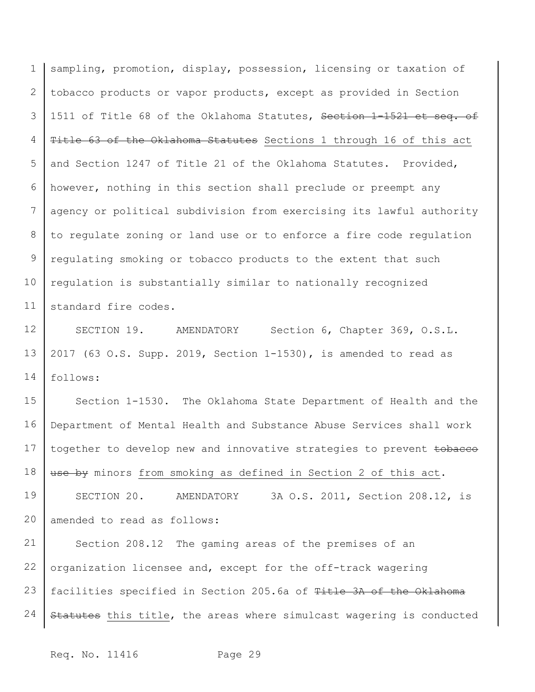1 2 3 4 5 6 7 8 9 10 11 sampling, promotion, display, possession, licensing or taxation of tobacco products or vapor products, except as provided in Section 1511 of Title 68 of the Oklahoma Statutes, Section 1-1521 et seq. of Title 63 of the Oklahoma Statutes Sections 1 through 16 of this act and Section 1247 of Title 21 of the Oklahoma Statutes. Provided, however, nothing in this section shall preclude or preempt any agency or political subdivision from exercising its lawful authority to regulate zoning or land use or to enforce a fire code regulation regulating smoking or tobacco products to the extent that such regulation is substantially similar to nationally recognized standard fire codes.

12 13 14 SECTION 19. AMENDATORY Section 6, Chapter 369, O.S.L. 2017 (63 O.S. Supp. 2019, Section 1-1530), is amended to read as follows:

15 16 17 18 19 20 21 Section 1-1530. The Oklahoma State Department of Health and the Department of Mental Health and Substance Abuse Services shall work together to develop new and innovative strategies to prevent tobacco use by minors from smoking as defined in Section 2 of this act. SECTION 20. AMENDATORY 3A O.S. 2011, Section 208.12, is amended to read as follows: Section 208.12 The gaming areas of the premises of an

22 23 24 organization licensee and, except for the off-track wagering facilities specified in Section 205.6a of Title 3A of the Oklahoma Statutes this title, the areas where simulcast wagering is conducted